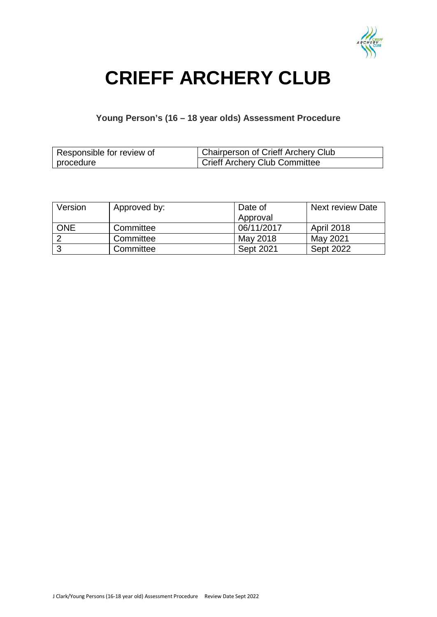

# **CRIEFF ARCHERY CLUB**

### **Young Person's (16 – 18 year olds) Assessment Procedure**

| Responsible for review of | Chairperson of Crieff Archery Club |
|---------------------------|------------------------------------|
| procedure                 | Crieff Archery Club Committee      |

| Version    | Approved by: | Date of    | <b>Next review Date</b> |
|------------|--------------|------------|-------------------------|
|            |              | Approval   |                         |
| <b>ONE</b> | Committee    | 06/11/2017 | April 2018              |
|            | Committee    | May 2018   | May 2021                |
|            | Committee    | Sept 2021  | <b>Sept 2022</b>        |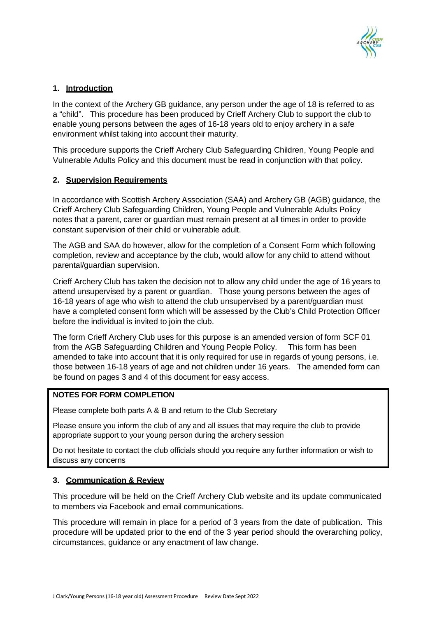

#### **1. Introduction**

In the context of the Archery GB guidance, any person under the age of 18 is referred to as a "child". This procedure has been produced by Crieff Archery Club to support the club to enable young persons between the ages of 16-18 years old to enjoy archery in a safe environment whilst taking into account their maturity.

This procedure supports the Crieff Archery Club Safeguarding Children, Young People and Vulnerable Adults Policy and this document must be read in conjunction with that policy.

#### **2. Supervision Requirements**

In accordance with Scottish Archery Association (SAA) and Archery GB (AGB) guidance, the Crieff Archery Club Safeguarding Children, Young People and Vulnerable Adults Policy notes that a parent, carer or guardian must remain present at all times in order to provide constant supervision of their child or vulnerable adult.

The AGB and SAA do however, allow for the completion of a Consent Form which following completion, review and acceptance by the club, would allow for any child to attend without parental/guardian supervision.

Crieff Archery Club has taken the decision not to allow any child under the age of 16 years to attend unsupervised by a parent or guardian. Those young persons between the ages of 16-18 years of age who wish to attend the club unsupervised by a parent/guardian must have a completed consent form which will be assessed by the Club's Child Protection Officer before the individual is invited to join the club.

The form Crieff Archery Club uses for this purpose is an amended version of form SCF 01 from the AGB Safeguarding Children and Young People Policy. This form has been amended to take into account that it is only required for use in regards of young persons, i.e. those between 16-18 years of age and not children under 16 years. The amended form can be found on pages 3 and 4 of this document for easy access.

#### **NOTES FOR FORM COMPLETION**

Please complete both parts A & B and return to the Club Secretary

Please ensure you inform the club of any and all issues that may require the club to provide appropriate support to your young person during the archery session

Do not hesitate to contact the club officials should you require any further information or wish to discuss any concerns

#### **3. Communication & Review**

This procedure will be held on the Crieff Archery Club website and its update communicated to members via Facebook and email communications.

This procedure will remain in place for a period of 3 years from the date of publication. This procedure will be updated prior to the end of the 3 year period should the overarching policy, circumstances, guidance or any enactment of law change.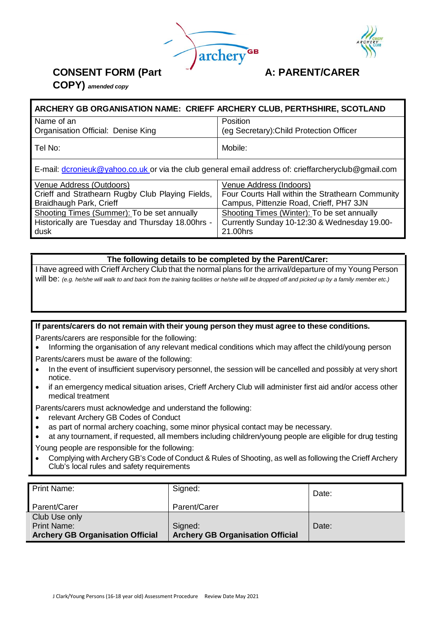



### **CONSENT FORM (Part A: PARENT/CARER**

**COPY)** *amended copy*

| ARCHERY GB ORGANISATION NAME: CRIEFF ARCHERY CLUB, PERTHSHIRE, SCOTLAND                             |                                          |  |  |
|-----------------------------------------------------------------------------------------------------|------------------------------------------|--|--|
| Name of an                                                                                          | Position                                 |  |  |
| Organisation Official: Denise King                                                                  | (eg Secretary): Child Protection Officer |  |  |
| l Tel No:                                                                                           | Mobile:                                  |  |  |
| E-mail: dcronieuk@yahoo.co.uk or via the club general email address of: crieffarcheryclub@gmail.com |                                          |  |  |

| Venue Address (Outdoors)                         | Venue Address (Indoors)                          |
|--------------------------------------------------|--------------------------------------------------|
| Crieff and Strathearn Rugby Club Playing Fields, | Four Courts Hall within the Strathearn Community |
| Braidhaugh Park, Crieff                          | Campus, Pittenzie Road, Crieff, PH7 3JN          |
| Shooting Times (Summer): To be set annually      | Shooting Times (Winter): To be set annually      |
| Historically are Tuesday and Thursday 18.00hrs - | Currently Sunday 10-12:30 & Wednesday 19.00-     |
| dusk                                             | 21,00hrs                                         |

#### **The following details to be completed by the Parent/Carer:**

I have agreed with Crieff Archery Club that the normal plans for the arrival/departure of my Young Person will be: (e.g. he/she will walk to and back from the training facilities or he/she will be dropped off and picked up by a family member etc.)

#### **If parents/carers do not remain with their young person they must agree to these conditions.**

Parents/carers are responsible for the following:

- Informing the organisation of any relevant medical conditions which may affect the child/young person
- Parents/carers must be aware of the following:
- In the event of insufficient supervisory personnel, the session will be cancelled and possibly at very short notice.
- if an emergency medical situation arises, Crieff Archery Club will administer first aid and/or access other medical treatment

Parents/carers must acknowledge and understand the following:

- relevant Archery GB Codes of Conduct
- as part of normal archery coaching, some minor physical contact may be necessary.
- at any tournament, if requested, all members including children/young people are eligible for drug testing

Young people are responsible for the following:

• Complying with Archery GB's Code of Conduct & Rules of Shooting, as well as following the Crieff Archery Club's local rules and safety requirements

| <b>Print Name:</b>                      | Signed:                                 | Date: |
|-----------------------------------------|-----------------------------------------|-------|
| Parent/Carer                            | Parent/Carer                            |       |
| Club Use only                           |                                         |       |
| <b>Print Name:</b>                      | Signed:                                 | Date: |
| <b>Archery GB Organisation Official</b> | <b>Archery GB Organisation Official</b> |       |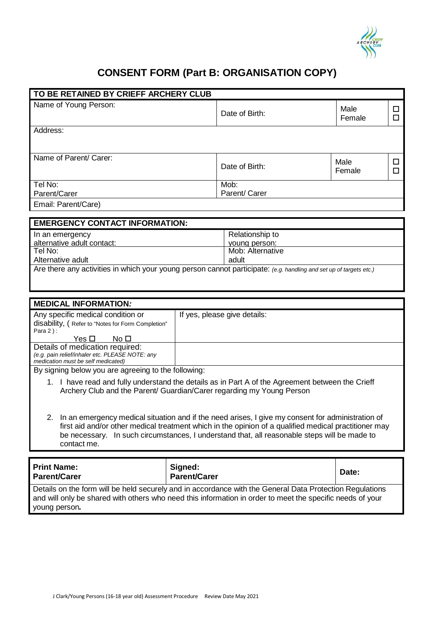

## **CONSENT FORM (Part B: ORGANISATION COPY)**

| TO BE RETAINED BY CRIEFF ARCHERY CLUB                                                                                                                                                                                                                                                                                                    |                                                                                                                                                                                                                       |                |             |
|------------------------------------------------------------------------------------------------------------------------------------------------------------------------------------------------------------------------------------------------------------------------------------------------------------------------------------------|-----------------------------------------------------------------------------------------------------------------------------------------------------------------------------------------------------------------------|----------------|-------------|
| Name of Young Person:                                                                                                                                                                                                                                                                                                                    | Date of Birth:                                                                                                                                                                                                        | Male<br>Female | □<br>$\Box$ |
| Address:                                                                                                                                                                                                                                                                                                                                 |                                                                                                                                                                                                                       |                |             |
| Name of Parent/ Carer:                                                                                                                                                                                                                                                                                                                   | Date of Birth:                                                                                                                                                                                                        | Male<br>Female | □<br>□      |
| Tel No:<br>Parent/Carer                                                                                                                                                                                                                                                                                                                  | Mob:<br>Parent/ Carer                                                                                                                                                                                                 |                |             |
| Email: Parent/Care)                                                                                                                                                                                                                                                                                                                      |                                                                                                                                                                                                                       |                |             |
| <b>EMERGENCY CONTACT INFORMATION:</b>                                                                                                                                                                                                                                                                                                    |                                                                                                                                                                                                                       |                |             |
| In an emergency<br>alternative adult contact:<br>Tel No:<br>Alternative adult                                                                                                                                                                                                                                                            | Relationship to<br>young person:<br>Mob: Alternative<br>adult<br>Are there any activities in which your young person cannot participate: (e.g. handling and set up of targets etc.)                                   |                |             |
|                                                                                                                                                                                                                                                                                                                                          |                                                                                                                                                                                                                       |                |             |
| <b>MEDICAL INFORMATION:</b>                                                                                                                                                                                                                                                                                                              |                                                                                                                                                                                                                       |                |             |
| Any specific medical condition or<br>disability, (Refer to "Notes for Form Completion"<br>Para $2$ ):<br>Yes $\square$<br>No $\square$<br>Details of medication required:                                                                                                                                                                | If yes, please give details:                                                                                                                                                                                          |                |             |
| (e.g. pain relief/inhaler etc. PLEASE NOTE: any<br>medication must be self medicated)                                                                                                                                                                                                                                                    |                                                                                                                                                                                                                       |                |             |
| By signing below you are agreeing to the following:<br>1. I have read and fully understand the details as in Part A of the Agreement between the Crieff<br>Archery Club and the Parent/ Guardian/Carer regarding my Young Person<br>2. In an emergency medical situation and if the need arises, I give my consent for administration of |                                                                                                                                                                                                                       |                |             |
| contact me.                                                                                                                                                                                                                                                                                                                              | first aid and/or other medical treatment which in the opinion of a qualified medical practitioner may<br>be necessary. In such circumstances, I understand that, all reasonable steps will be made to                 |                |             |
| <b>Print Name:</b><br><b>Parent/Carer</b>                                                                                                                                                                                                                                                                                                | Signed:<br><b>Parent/Carer</b>                                                                                                                                                                                        | Date:          |             |
| young person.                                                                                                                                                                                                                                                                                                                            | Details on the form will be held securely and in accordance with the General Data Protection Regulations<br>and will only be shared with others who need this information in order to meet the specific needs of your |                |             |